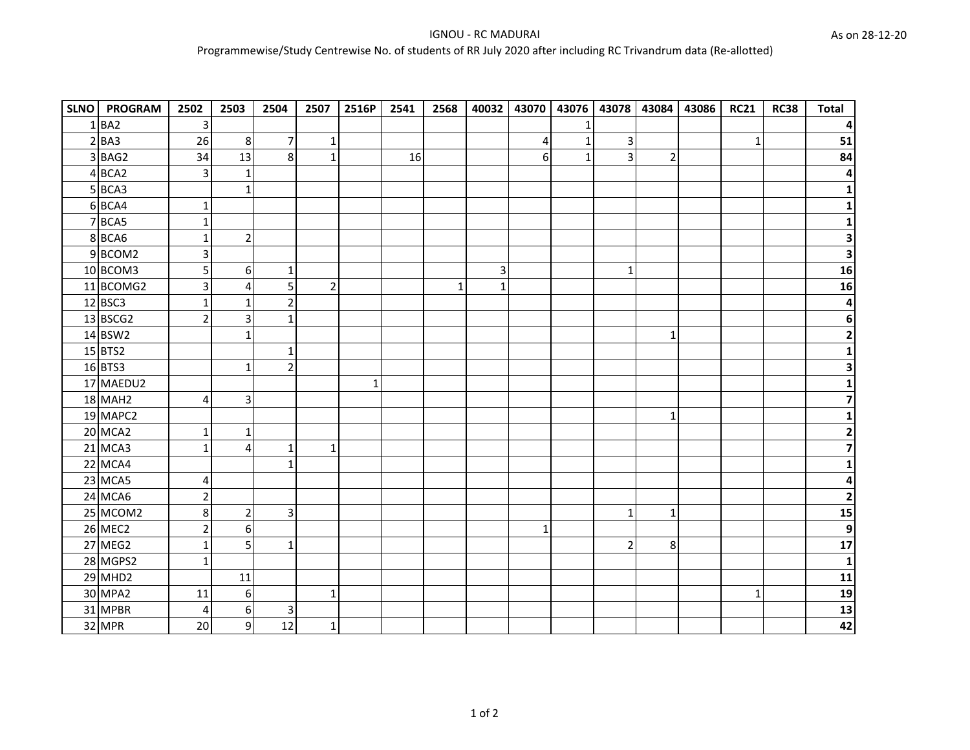| SLNO   PROGRAM | 2502                    | 2503           | 2504            | 2507           | 2516P        | 2541 | 2568 | 40032                   |   | 43070 43076 43078 43084 43086 |                |                | <b>RC21</b>  | <b>RC38</b> | <b>Total</b>             |
|----------------|-------------------------|----------------|-----------------|----------------|--------------|------|------|-------------------------|---|-------------------------------|----------------|----------------|--------------|-------------|--------------------------|
| $1$ BA2        | 3                       |                |                 |                |              |      |      |                         |   | 1                             |                |                |              |             |                          |
| $2$ $BA3$      | 26                      | 8              | $\overline{7}$  | $\mathbf{1}$   |              |      |      |                         | 4 | $\mathbf 1$                   | $\overline{3}$ |                | $\mathbf{1}$ |             | 51                       |
| 3BAG2          | 34                      | 13             | 8               | $\mathbf 1$    |              | 16   |      |                         | 6 | $\mathbf{1}$                  | 3              | $\overline{2}$ |              |             | 84                       |
| 4BCA2          | 3                       | 1              |                 |                |              |      |      |                         |   |                               |                |                |              |             |                          |
| $5$ BCA3       |                         | $\mathbf{1}$   |                 |                |              |      |      |                         |   |                               |                |                |              |             |                          |
| 6 BCA4         | $\mathbf{1}$            |                |                 |                |              |      |      |                         |   |                               |                |                |              |             |                          |
| 7 BCA5         | 1                       |                |                 |                |              |      |      |                         |   |                               |                |                |              |             |                          |
| 8BCA6          | 1                       | $\overline{2}$ |                 |                |              |      |      |                         |   |                               |                |                |              |             | 3                        |
| 9BCOM2         | $\overline{\mathbf{3}}$ |                |                 |                |              |      |      |                         |   |                               |                |                |              |             | $\overline{\mathbf{3}}$  |
| 10 BCOM3       | 5                       | 6              | $\mathbf{1}$    |                |              |      |      | $\overline{\mathbf{3}}$ |   |                               | $\mathbf{1}$   |                |              |             | $\overline{\mathbf{16}}$ |
| 11 BCOMG2      | 3                       | 4              | 5               | $\overline{2}$ |              |      | 1    | $\mathbf 1$             |   |                               |                |                |              |             | 16                       |
| 12 BSC3        | $\mathbf{1}$            | 1              | $\overline{2}$  |                |              |      |      |                         |   |                               |                |                |              |             | 4                        |
| 13 BSCG2       | $\overline{2}$          | 3              | $\mathbf{1}$    |                |              |      |      |                         |   |                               |                |                |              |             | 6                        |
| 14 BSW2        |                         | 1              |                 |                |              |      |      |                         |   |                               |                | $\mathbf{1}$   |              |             | 2                        |
| $15$ BTS2      |                         |                | 1               |                |              |      |      |                         |   |                               |                |                |              |             |                          |
| 16 BTS3        |                         | 1              | $\overline{2}$  |                |              |      |      |                         |   |                               |                |                |              |             |                          |
| 17 MAEDU2      |                         |                |                 |                | $\mathbf{1}$ |      |      |                         |   |                               |                |                |              |             |                          |
| <b>18 MAH2</b> | 4                       | 3              |                 |                |              |      |      |                         |   |                               |                |                |              |             |                          |
| 19 MAPC2       |                         |                |                 |                |              |      |      |                         |   |                               |                | 1              |              |             |                          |
| <b>20 MCA2</b> | 1                       | 1              |                 |                |              |      |      |                         |   |                               |                |                |              |             | 2                        |
| 21 MCA3        | $\mathbf{1}$            | $\overline{4}$ | $\mathbf{1}$    | $\mathbf{1}$   |              |      |      |                         |   |                               |                |                |              |             | 7                        |
| 22 MCA4        |                         |                | 1               |                |              |      |      |                         |   |                               |                |                |              |             |                          |
| 23 MCA5        | 4                       |                |                 |                |              |      |      |                         |   |                               |                |                |              |             | 4                        |
| 24 MCA6        | $\overline{2}$          |                |                 |                |              |      |      |                         |   |                               |                |                |              |             | $\overline{2}$           |
| 25 MCOM2       | 8                       | $\overline{2}$ | $\overline{3}$  |                |              |      |      |                         |   |                               | $\mathbf{1}$   | 1              |              |             | 15                       |
| <b>26 MEC2</b> | $\overline{2}$          | 6              |                 |                |              |      |      |                         | 1 |                               |                |                |              |             | $\overline{9}$           |
| 27 MEG2        | $\mathbf{1}$            | 5              | $1\overline{ }$ |                |              |      |      |                         |   |                               | $\overline{2}$ | $\bf 8$        |              |             | $\frac{1}{17}$           |
| 28 MGPS2       | $\mathbf{1}$            |                |                 |                |              |      |      |                         |   |                               |                |                |              |             | $\mathbf{1}$             |
| <b>29 MHD2</b> |                         | 11             |                 |                |              |      |      |                         |   |                               |                |                |              |             | $\overline{11}$          |
| 30 MPA2        | 11                      | 6              |                 | $\mathbf{1}$   |              |      |      |                         |   |                               |                |                | $\mathbf{1}$ |             | 19                       |
| 31 MPBR        | 4                       | 6              | $\overline{3}$  |                |              |      |      |                         |   |                               |                |                |              |             | $\overline{\mathbf{13}}$ |
| 32 MPR         | 20                      | 9              | 12              | $\mathbf 1$    |              |      |      |                         |   |                               |                |                |              |             | 42                       |